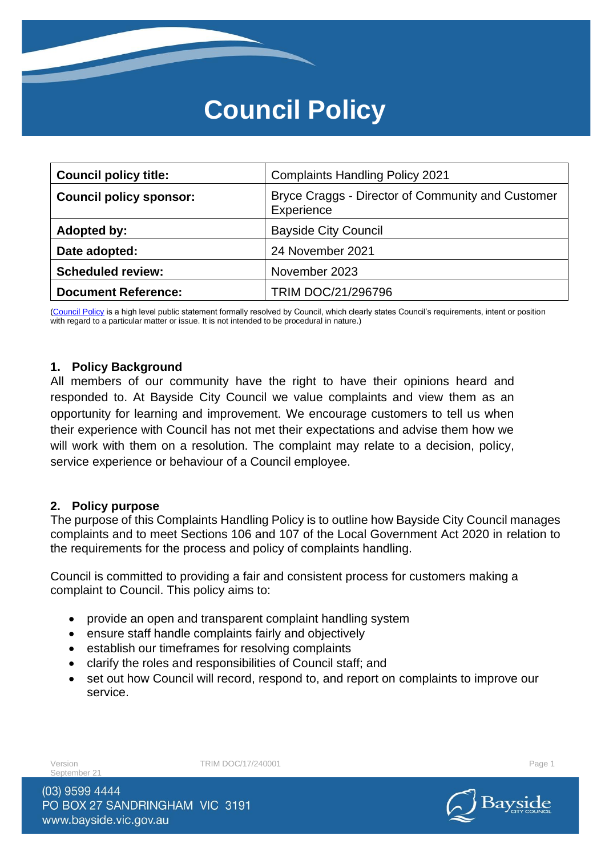# **Council Policy**

| <b>Council policy title:</b>   | <b>Complaints Handling Policy 2021</b>                          |  |
|--------------------------------|-----------------------------------------------------------------|--|
| <b>Council policy sponsor:</b> | Bryce Craggs - Director of Community and Customer<br>Experience |  |
| Adopted by:                    | <b>Bayside City Council</b>                                     |  |
| Date adopted:                  | 24 November 2021                                                |  |
| <b>Scheduled review:</b>       | November 2023                                                   |  |
| <b>Document Reference:</b>     | TRIM DOC/21/296796                                              |  |

[\(Council Policy](https://au.promapp.com/baysidecitycouncil/Process/Minimode/Permalink/Bcgi4q5dmbZyRbMpz4vtYL) is a high level public statement formally resolved by Council, which clearly states Council's requirements, intent or position with regard to a particular matter or issue. It is not intended to be procedural in nature.)

### **1. Policy Background**

All members of our community have the right to have their opinions heard and responded to. At Bayside City Council we value complaints and view them as an opportunity for learning and improvement. We encourage customers to tell us when their experience with Council has not met their expectations and advise them how we will work with them on a resolution. The complaint may relate to a decision, policy, service experience or behaviour of a Council employee.

### **2. Policy purpose**

The purpose of this Complaints Handling Policy is to outline how Bayside City Council manages complaints and to meet Sections 106 and 107 of the Local Government Act 2020 in relation to the requirements for the process and policy of complaints handling.

Council is committed to providing a fair and consistent process for customers making a complaint to Council. This policy aims to:

- provide an open and transparent complaint handling system
- ensure staff handle complaints fairly and objectively
- establish our timeframes for resolving complaints
- clarify the roles and responsibilities of Council staff; and
- set out how Council will record, respond to, and report on complaints to improve our service.

Sentember 21

Version **TRIM DOC/17/240001** Page 1

(03) 9599 4444 PO BOX 27 SANDRINGHAM VIC 3191 www.bayside.vic.gov.au

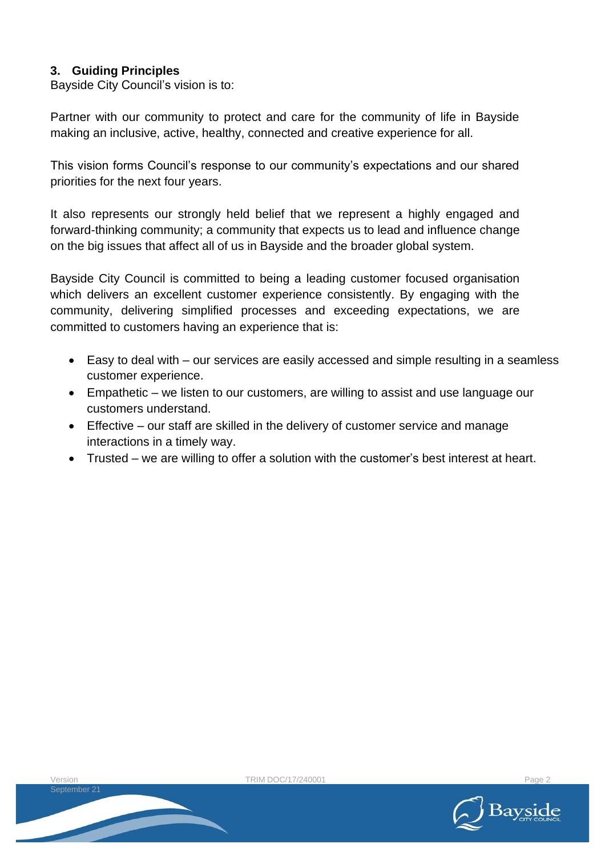### **3. Guiding Principles**

Bayside City Council's vision is to:

Partner with our community to protect and care for the community of life in Bayside making an inclusive, active, healthy, connected and creative experience for all.

This vision forms Council's response to our community's expectations and our shared priorities for the next four years.

It also represents our strongly held belief that we represent a highly engaged and forward-thinking community; a community that expects us to lead and influence change on the big issues that affect all of us in Bayside and the broader global system.

Bayside City Council is committed to being a leading customer focused organisation which delivers an excellent customer experience consistently. By engaging with the community, delivering simplified processes and exceeding expectations, we are committed to customers having an experience that is:

- Easy to deal with our services are easily accessed and simple resulting in a seamless customer experience.
- Empathetic we listen to our customers, are willing to assist and use language our customers understand.
- Effective our staff are skilled in the delivery of customer service and manage interactions in a timely way.
- Trusted we are willing to offer a solution with the customer's best interest at heart.

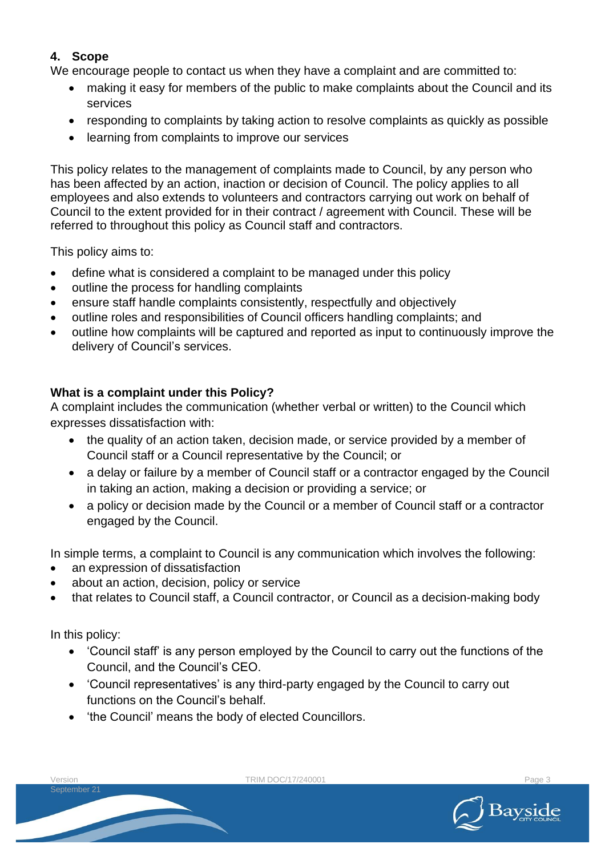### **4. Scope**

We encourage people to contact us when they have a complaint and are committed to:

- making it easy for members of the public to make complaints about the Council and its services
- responding to complaints by taking action to resolve complaints as quickly as possible
- learning from complaints to improve our services

This policy relates to the management of complaints made to Council, by any person who has been affected by an action, inaction or decision of Council. The policy applies to all employees and also extends to volunteers and contractors carrying out work on behalf of Council to the extent provided for in their contract / agreement with Council. These will be referred to throughout this policy as Council staff and contractors.

This policy aims to:

- define what is considered a complaint to be managed under this policy
- outline the process for handling complaints
- ensure staff handle complaints consistently, respectfully and objectively
- outline roles and responsibilities of Council officers handling complaints; and
- outline how complaints will be captured and reported as input to continuously improve the delivery of Council's services.

### **What is a complaint under this Policy?**

A complaint includes the communication (whether verbal or written) to the Council which expresses dissatisfaction with:

- the quality of an action taken, decision made, or service provided by a member of Council staff or a Council representative by the Council; or
- a delay or failure by a member of Council staff or a contractor engaged by the Council in taking an action, making a decision or providing a service; or
- a policy or decision made by the Council or a member of Council staff or a contractor engaged by the Council.

In simple terms, a complaint to Council is any communication which involves the following:

- an expression of dissatisfaction
- about an action, decision, policy or service
- that relates to Council staff, a Council contractor, or Council as a decision-making body

In this policy:

- 'Council staff' is any person employed by the Council to carry out the functions of the Council, and the Council's CEO.
- 'Council representatives' is any third-party engaged by the Council to carry out functions on the Council's behalf.
- 'the Council' means the body of elected Councillors.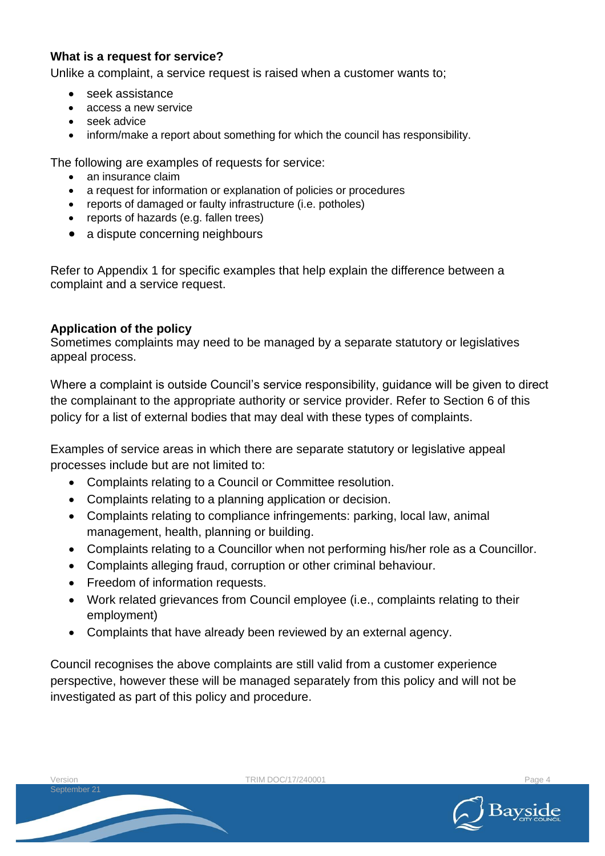### **What is a request for service?**

Unlike a complaint, a service request is raised when a customer wants to;

- seek assistance
- access a new service
- seek advice
- inform/make a report about something for which the council has responsibility.

The following are examples of requests for service:

- an insurance claim
- a request for information or explanation of policies or procedures
- reports of damaged or faulty infrastructure (i.e. potholes)
- reports of hazards (e.g. fallen trees)
- a dispute concerning neighbours

Refer to Appendix 1 for specific examples that help explain the difference between a complaint and a service request.

### **Application of the policy**

Sometimes complaints may need to be managed by a separate statutory or legislatives appeal process.

Where a complaint is outside Council's service responsibility, quidance will be given to direct the complainant to the appropriate authority or service provider. Refer to Section 6 of this policy for a list of external bodies that may deal with these types of complaints.

Examples of service areas in which there are separate statutory or legislative appeal processes include but are not limited to:

- Complaints relating to a Council or Committee resolution.
- Complaints relating to a planning application or decision.
- Complaints relating to compliance infringements: parking, local law, animal management, health, planning or building.
- Complaints relating to a Councillor when not performing his/her role as a Councillor.
- Complaints alleging fraud, corruption or other criminal behaviour.
- Freedom of information requests.
- Work related grievances from Council employee (i.e., complaints relating to their employment)
- Complaints that have already been reviewed by an external agency.

Council recognises the above complaints are still valid from a customer experience perspective, however these will be managed separately from this policy and will not be investigated as part of this policy and procedure.

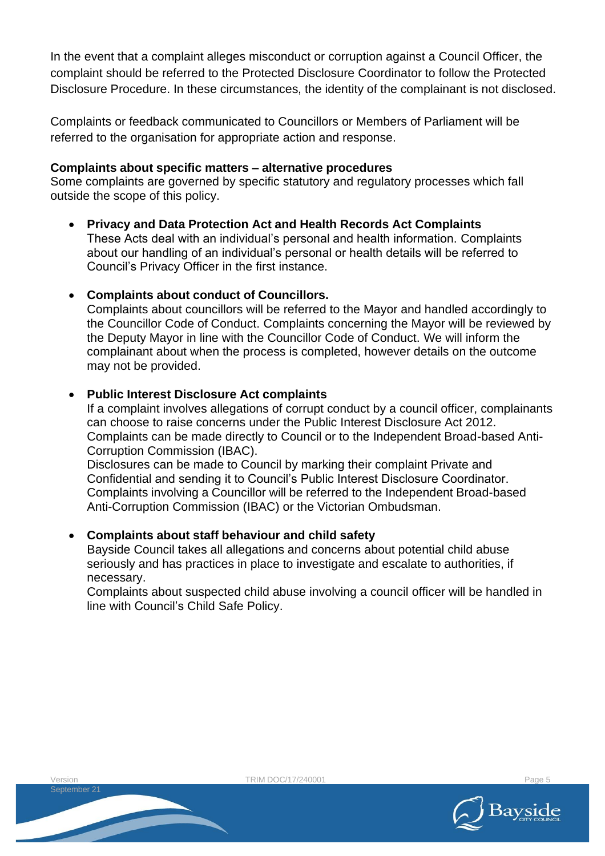In the event that a complaint alleges misconduct or corruption against a Council Officer, the complaint should be referred to the Protected Disclosure Coordinator to follow the Protected Disclosure Procedure. In these circumstances, the identity of the complainant is not disclosed.

Complaints or feedback communicated to Councillors or Members of Parliament will be referred to the organisation for appropriate action and response.

### **Complaints about specific matters – alternative procedures**

Some complaints are governed by specific statutory and regulatory processes which fall outside the scope of this policy.

- **Privacy and Data Protection Act and Health Records Act Complaints** These Acts deal with an individual's personal and health information. Complaints about our handling of an individual's personal or health details will be referred to Council's Privacy Officer in the first instance.
- **Complaints about conduct of Councillors.**

Complaints about councillors will be referred to the Mayor and handled accordingly to the Councillor Code of Conduct. Complaints concerning the Mayor will be reviewed by the Deputy Mayor in line with the Councillor Code of Conduct. We will inform the complainant about when the process is completed, however details on the outcome may not be provided.

### • **Public Interest Disclosure Act complaints**

If a complaint involves allegations of corrupt conduct by a council officer, complainants can choose to raise concerns under the Public Interest Disclosure Act 2012. Complaints can be made directly to Council or to the Independent Broad-based Anti-Corruption Commission (IBAC).

Disclosures can be made to Council by marking their complaint Private and Confidential and sending it to Council's Public Interest Disclosure Coordinator. Complaints involving a Councillor will be referred to the Independent Broad-based Anti-Corruption Commission (IBAC) or the Victorian Ombudsman.

### • **Complaints about staff behaviour and child safety**

Bayside Council takes all allegations and concerns about potential child abuse seriously and has practices in place to investigate and escalate to authorities, if necessary.

Complaints about suspected child abuse involving a council officer will be handled in line with Council's Child Safe Policy.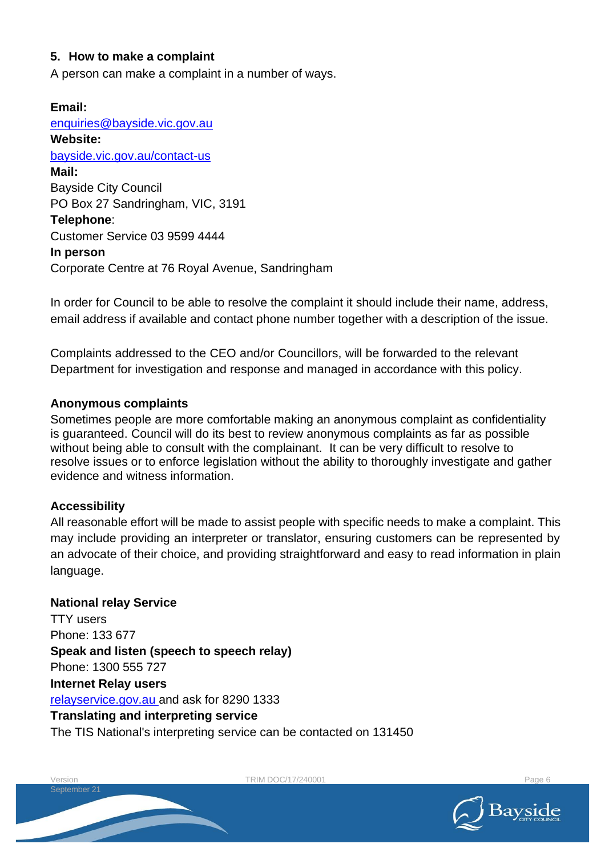### **5. How to make a complaint**

A person can make a complaint in a number of ways.

**Email:** [enquiries@bayside.vic.gov.au](mailto:enquiries@bayside.vic.gov.au) **Website:** [bayside.vic.gov.au/contact-us](https://www.bayside.vic.gov.au/contact-us) **Mail:** Bayside City Council PO Box 27 Sandringham, VIC, 3191 **Telephone**: Customer Service 03 9599 4444 **In person** Corporate Centre at 76 Royal Avenue, Sandringham

In order for Council to be able to resolve the complaint it should include their name, address, email address if available and contact phone number together with a description of the issue.

Complaints addressed to the CEO and/or Councillors, will be forwarded to the relevant Department for investigation and response and managed in accordance with this policy.

### **Anonymous complaints**

Sometimes people are more comfortable making an anonymous complaint as confidentiality is guaranteed. Council will do its best to review anonymous complaints as far as possible without being able to consult with the complainant. It can be very difficult to resolve to resolve issues or to enforce legislation without the ability to thoroughly investigate and gather evidence and witness information.

### **Accessibility**

All reasonable effort will be made to assist people with specific needs to make a complaint. This may include providing an interpreter or translator, ensuring customers can be represented by an advocate of their choice, and providing straightforward and easy to read information in plain language.

### **National relay Service**

TTY users Phone: 133 677 **Speak and listen (speech to speech relay)** Phone: 1300 555 727 **Internet Relay users** [relayservice.gov.au](http://www.relayservice.gov.au/) and ask for 8290 1333 **Translating and interpreting service** The TIS National's interpreting service can be contacted on 131450

TRIM DOC/17/240001

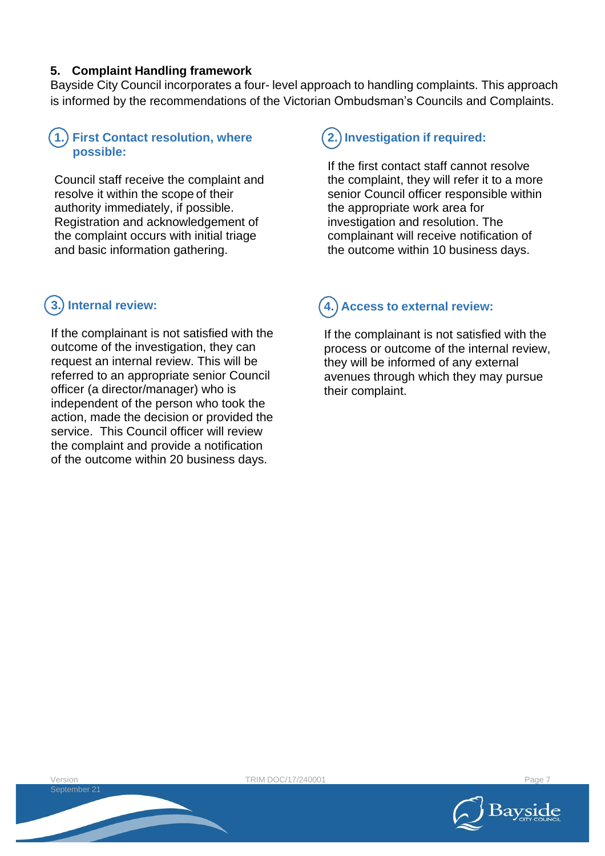### **5. Complaint Handling framework**

Bayside City Council incorporates a four- level approach to handling complaints. This approach is informed by the recommendations of the Victorian Ombudsman's Councils and Complaints.

### **First Contact resolution, where 1. possible:**

Council staff receive the complaint and resolve it within the scope of their authority immediately, if possible. Registration and acknowledgement of the complaint occurs with initial triage and basic information gathering.

# **Internal review: 3.**

If the complainant is not satisfied with the outcome of the investigation, they can request an internal review. This will be referred to an appropriate senior Council officer (a director/manager) who is independent of the person who took the action, made the decision or provided the service. This Council officer will review the complaint and provide a notification of the outcome within 20 business days.

# **Investigation if required: 2.**

If the first contact staff cannot resolve the complaint, they will refer it to a more senior Council officer responsible within the appropriate work area for investigation and resolution. The complainant will receive notification of the outcome within 10 business days.

#### **Access to external review: 4.**

If the complainant is not satisfied with the process or outcome of the internal review, they will be informed of any external avenues through which they may pursue their complaint.

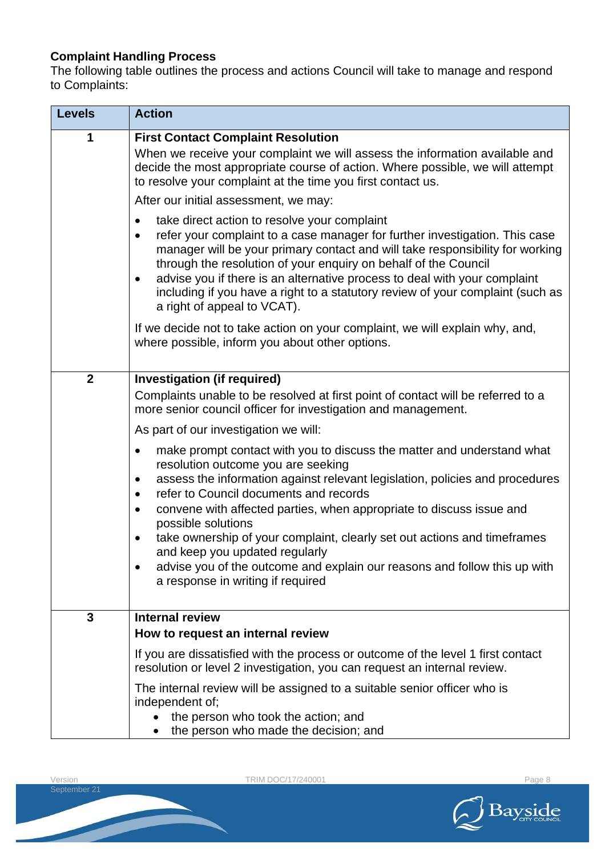### **Complaint Handling Process**

The following table outlines the process and actions Council will take to manage and respond to Complaints:

| <b>Levels</b>  | <b>Action</b>                                                                                                                                                                                                                                                                                                                                                                                                                                                                                                                                                                                                                 |
|----------------|-------------------------------------------------------------------------------------------------------------------------------------------------------------------------------------------------------------------------------------------------------------------------------------------------------------------------------------------------------------------------------------------------------------------------------------------------------------------------------------------------------------------------------------------------------------------------------------------------------------------------------|
| 1              | <b>First Contact Complaint Resolution</b><br>When we receive your complaint we will assess the information available and<br>decide the most appropriate course of action. Where possible, we will attempt<br>to resolve your complaint at the time you first contact us.                                                                                                                                                                                                                                                                                                                                                      |
|                | After our initial assessment, we may:                                                                                                                                                                                                                                                                                                                                                                                                                                                                                                                                                                                         |
|                | take direct action to resolve your complaint<br>$\bullet$<br>refer your complaint to a case manager for further investigation. This case<br>$\bullet$<br>manager will be your primary contact and will take responsibility for working<br>through the resolution of your enquiry on behalf of the Council<br>advise you if there is an alternative process to deal with your complaint<br>$\bullet$<br>including if you have a right to a statutory review of your complaint (such as<br>a right of appeal to VCAT).                                                                                                          |
|                | If we decide not to take action on your complaint, we will explain why, and,<br>where possible, inform you about other options.                                                                                                                                                                                                                                                                                                                                                                                                                                                                                               |
| $\overline{2}$ | Investigation (if required)<br>Complaints unable to be resolved at first point of contact will be referred to a<br>more senior council officer for investigation and management.                                                                                                                                                                                                                                                                                                                                                                                                                                              |
|                | As part of our investigation we will:                                                                                                                                                                                                                                                                                                                                                                                                                                                                                                                                                                                         |
|                | make prompt contact with you to discuss the matter and understand what<br>$\bullet$<br>resolution outcome you are seeking<br>assess the information against relevant legislation, policies and procedures<br>$\bullet$<br>refer to Council documents and records<br>$\bullet$<br>convene with affected parties, when appropriate to discuss issue and<br>$\bullet$<br>possible solutions<br>take ownership of your complaint, clearly set out actions and timeframes<br>٠<br>and keep you updated regularly<br>advise you of the outcome and explain our reasons and follow this up with<br>a response in writing if required |
| $\mathbf{3}$   | <b>Internal review</b><br>How to request an internal review                                                                                                                                                                                                                                                                                                                                                                                                                                                                                                                                                                   |
|                | If you are dissatisfied with the process or outcome of the level 1 first contact<br>resolution or level 2 investigation, you can request an internal review.                                                                                                                                                                                                                                                                                                                                                                                                                                                                  |
|                | The internal review will be assigned to a suitable senior officer who is<br>independent of;<br>the person who took the action; and<br>the person who made the decision; and                                                                                                                                                                                                                                                                                                                                                                                                                                                   |

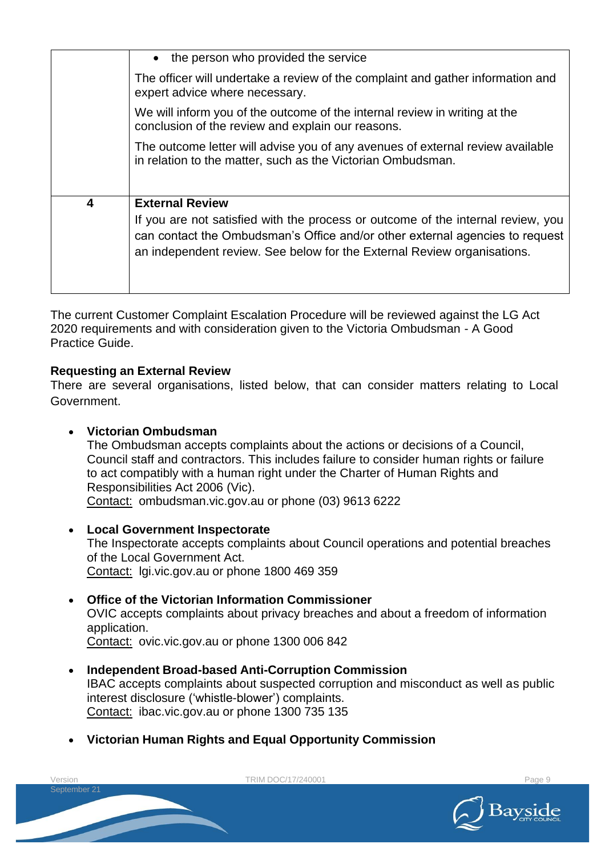|                         | • the person who provided the service                                                                                                                                                                                                       |
|-------------------------|---------------------------------------------------------------------------------------------------------------------------------------------------------------------------------------------------------------------------------------------|
|                         | The officer will undertake a review of the complaint and gather information and<br>expert advice where necessary.                                                                                                                           |
|                         | We will inform you of the outcome of the internal review in writing at the<br>conclusion of the review and explain our reasons.                                                                                                             |
|                         | The outcome letter will advise you of any avenues of external review available<br>in relation to the matter, such as the Victorian Ombudsman.                                                                                               |
| $\overline{\mathbf{4}}$ | <b>External Review</b>                                                                                                                                                                                                                      |
|                         | If you are not satisfied with the process or outcome of the internal review, you<br>can contact the Ombudsman's Office and/or other external agencies to request<br>an independent review. See below for the External Review organisations. |

The current Customer Complaint Escalation Procedure will be reviewed against the LG Act 2020 requirements and with consideration given to the Victoria Ombudsman - A Good Practice Guide.

### **Requesting an External Review**

There are several organisations, listed below, that can consider matters relating to Local Government.

### • **Victorian Ombudsman**

The Ombudsman accepts complaints about the actions or decisions of a Council, Council staff and contractors. This includes failure to consider human rights or failure to act compatibly with a human right under the Charter of Human Rights and Responsibilities Act 2006 (Vic). Contact: ombudsman.vic.gov.au or phone (03) 9613 6222

• **Local Government Inspectorate** The Inspectorate accepts complaints about Council operations and potential breaches of the Local Government Act. Contact: lgi.vic.gov.au or phone 1800 469 359

### • **Office of the Victorian Information Commissioner**

OVIC accepts complaints about privacy breaches and about a freedom of information application.

Contact: ovic.vic.gov.au or phone 1300 006 842

• **Independent Broad-based Anti-Corruption Commission** IBAC accepts complaints about suspected corruption and misconduct as well as public interest disclosure ('whistle-blower') complaints. Contact: ibac.vic.gov.au or phone 1300 735 135

TRIM DOC/17/240001 Page 9

• **Victorian Human Rights and Equal Opportunity Commission**



Version September 21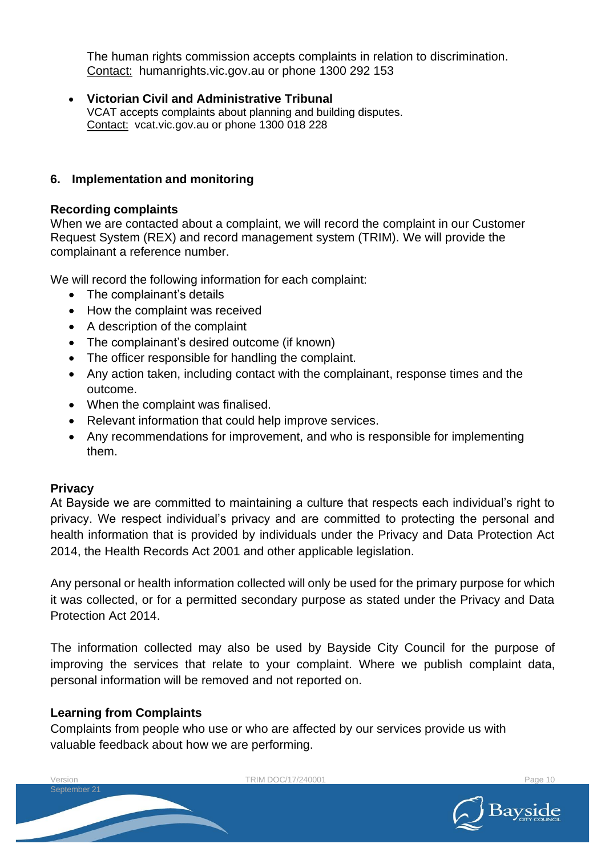The human rights commission accepts complaints in relation to discrimination. Contact: humanrights.vic.gov.au or phone 1300 292 153

• **Victorian Civil and Administrative Tribunal** VCAT accepts complaints about planning and building disputes. Contact: [vcat.vic.gov.au o](https://www.vcat.vic.gov.au/)r phone [1300](https://www.google.com/search?q=vcat&oq=vcat&aqs=edge..69i57.941j0j1&sourceid=chrome&ie=UTF-8) 018 228

### **6. Implementation and monitoring**

### **Recording complaints**

When we are contacted about a complaint, we will record the complaint in our Customer Request System (REX) and record management system (TRIM). We will provide the complainant a reference number.

We will record the following information for each complaint:

- The complainant's details
- How the complaint was received
- A description of the complaint
- The complainant's desired outcome (if known)
- The officer responsible for handling the complaint.
- Any action taken, including contact with the complainant, response times and the outcome.
- When the complaint was finalised.
- Relevant information that could help improve services.
- Any recommendations for improvement, and who is responsible for implementing them.

### **Privacy**

At Bayside we are committed to maintaining a culture that respects each individual's right to privacy. We respect individual's privacy and are committed to protecting the personal and health information that is provided by individuals under the Privacy and Data Protection Act 2014, the Health Records Act 2001 and other applicable legislation.

Any personal or health information collected will only be used for the primary purpose for which it was collected, or for a permitted secondary purpose as stated under the Privacy and Data Protection Act 2014.

The information collected may also be used by Bayside City Council for the purpose of improving the services that relate to your complaint. Where we publish complaint data, personal information will be removed and not reported on.

### **Learning from Complaints**

Complaints from people who use or who are affected by our services provide us with valuable feedback about how we are performing.



TRIM DOC/17/240001 **Page 10** 

Version September 21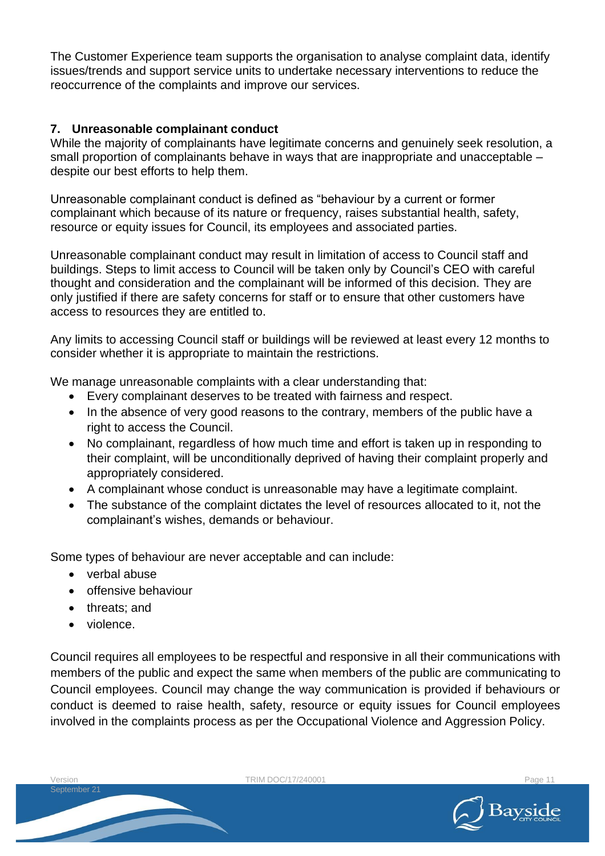The Customer Experience team supports the organisation to analyse complaint data, identify issues/trends and support service units to undertake necessary interventions to reduce the reoccurrence of the complaints and improve our services.

### **7. Unreasonable complainant conduct**

While the majority of complainants have legitimate concerns and genuinely seek resolution, a small proportion of complainants behave in ways that are inappropriate and unacceptable – despite our best efforts to help them.

Unreasonable complainant conduct is defined as "behaviour by a current or former complainant which because of its nature or frequency, raises substantial health, safety, resource or equity issues for Council, its employees and associated parties.

Unreasonable complainant conduct may result in limitation of access to Council staff and buildings. Steps to limit access to Council will be taken only by Council's CEO with careful thought and consideration and the complainant will be informed of this decision. They are only justified if there are safety concerns for staff or to ensure that other customers have access to resources they are entitled to.

Any limits to accessing Council staff or buildings will be reviewed at least every 12 months to consider whether it is appropriate to maintain the restrictions.

We manage unreasonable complaints with a clear understanding that:

- Every complainant deserves to be treated with fairness and respect.
- In the absence of very good reasons to the contrary, members of the public have a right to access the Council.
- No complainant, regardless of how much time and effort is taken up in responding to their complaint, will be unconditionally deprived of having their complaint properly and appropriately considered.
- A complainant whose conduct is unreasonable may have a legitimate complaint.
- The substance of the complaint dictates the level of resources allocated to it, not the complainant's wishes, demands or behaviour.

Some types of behaviour are never acceptable and can include:

- verbal abuse
- offensive behaviour
- threats; and
- violence.

Council requires all employees to be respectful and responsive in all their communications with members of the public and expect the same when members of the public are communicating to Council employees. Council may change the way communication is provided if behaviours or conduct is deemed to raise health, safety, resource or equity issues for Council employees involved in the complaints process as per the Occupational Violence and Aggression Policy.

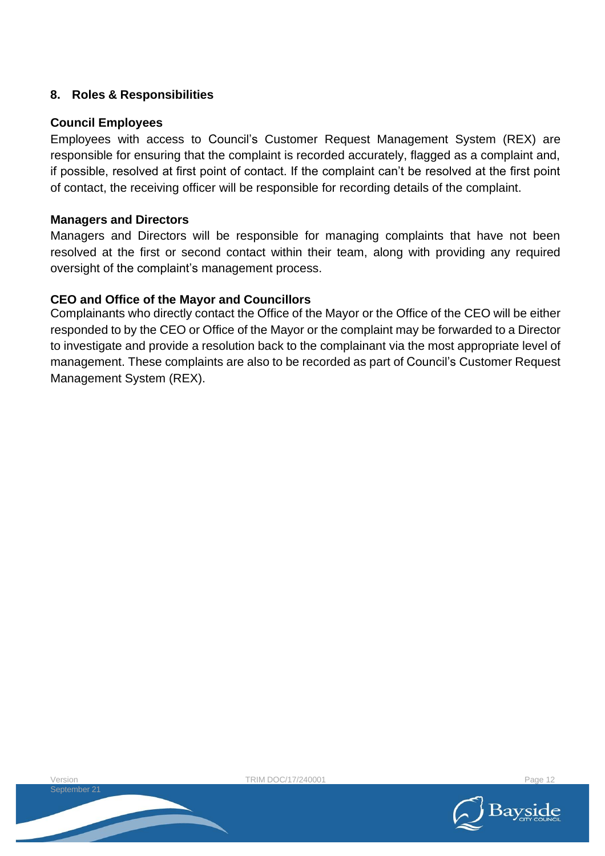### **8. Roles & Responsibilities**

### **Council Employees**

Employees with access to Council's Customer Request Management System (REX) are responsible for ensuring that the complaint is recorded accurately, flagged as a complaint and, if possible, resolved at first point of contact. If the complaint can't be resolved at the first point of contact, the receiving officer will be responsible for recording details of the complaint.

### **Managers and Directors**

Managers and Directors will be responsible for managing complaints that have not been resolved at the first or second contact within their team, along with providing any required oversight of the complaint's management process.

### **CEO and Office of the Mayor and Councillors**

Complainants who directly contact the Office of the Mayor or the Office of the CEO will be either responded to by the CEO or Office of the Mayor or the complaint may be forwarded to a Director to investigate and provide a resolution back to the complainant via the most appropriate level of management. These complaints are also to be recorded as part of Council's Customer Request Management System (REX).

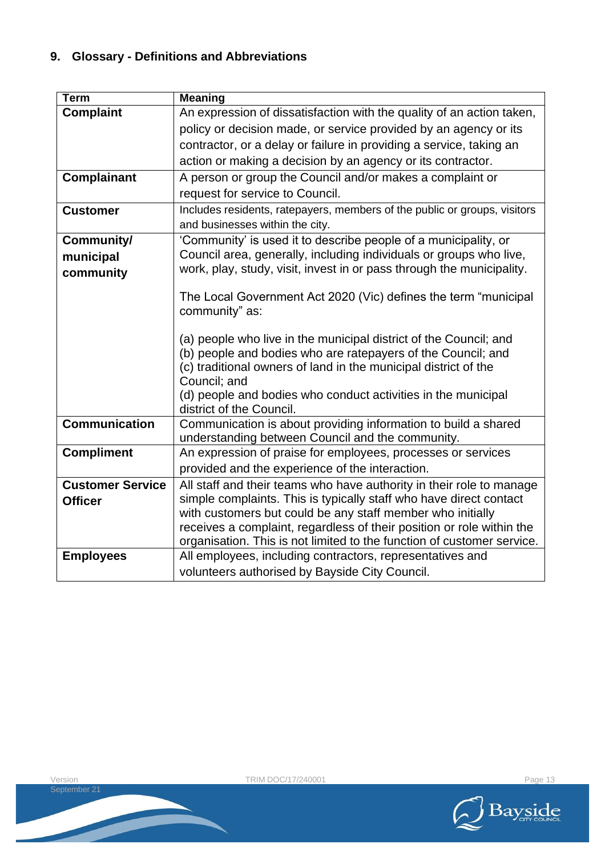## **9. Glossary - Definitions and Abbreviations**

| <b>Term</b>             | <b>Meaning</b>                                                                             |  |
|-------------------------|--------------------------------------------------------------------------------------------|--|
| <b>Complaint</b>        | An expression of dissatisfaction with the quality of an action taken,                      |  |
|                         | policy or decision made, or service provided by an agency or its                           |  |
|                         | contractor, or a delay or failure in providing a service, taking an                        |  |
|                         | action or making a decision by an agency or its contractor.                                |  |
| <b>Complainant</b>      | A person or group the Council and/or makes a complaint or                                  |  |
|                         | request for service to Council.                                                            |  |
| <b>Customer</b>         | Includes residents, ratepayers, members of the public or groups, visitors                  |  |
|                         | and businesses within the city.                                                            |  |
| Community/              | 'Community' is used it to describe people of a municipality, or                            |  |
| municipal               | Council area, generally, including individuals or groups who live,                         |  |
| community               | work, play, study, visit, invest in or pass through the municipality.                      |  |
|                         | The Local Government Act 2020 (Vic) defines the term "municipal                            |  |
|                         | community" as:                                                                             |  |
|                         |                                                                                            |  |
|                         | (a) people who live in the municipal district of the Council; and                          |  |
|                         | (b) people and bodies who are ratepayers of the Council; and                               |  |
|                         | (c) traditional owners of land in the municipal district of the                            |  |
|                         | Council; and                                                                               |  |
|                         | (d) people and bodies who conduct activities in the municipal                              |  |
| <b>Communication</b>    | district of the Council.<br>Communication is about providing information to build a shared |  |
|                         | understanding between Council and the community.                                           |  |
| <b>Compliment</b>       | An expression of praise for employees, processes or services                               |  |
|                         | provided and the experience of the interaction.                                            |  |
| <b>Customer Service</b> | All staff and their teams who have authority in their role to manage                       |  |
| <b>Officer</b>          | simple complaints. This is typically staff who have direct contact                         |  |
|                         | with customers but could be any staff member who initially                                 |  |
|                         | receives a complaint, regardless of their position or role within the                      |  |
|                         | organisation. This is not limited to the function of customer service.                     |  |
| <b>Employees</b>        | All employees, including contractors, representatives and                                  |  |
|                         | volunteers authorised by Bayside City Council.                                             |  |

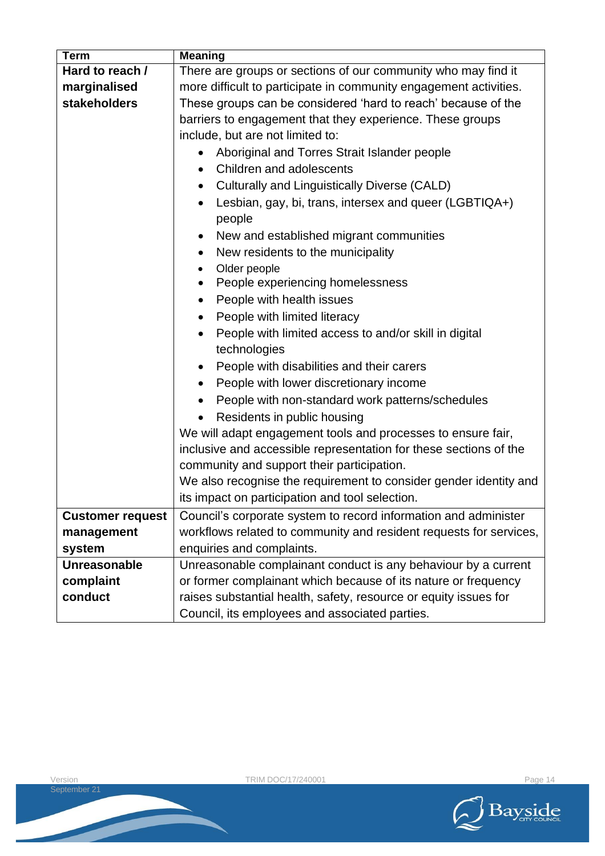| <b>Term</b>             | <b>Meaning</b>                                                      |  |
|-------------------------|---------------------------------------------------------------------|--|
| Hard to reach /         | There are groups or sections of our community who may find it       |  |
| marginalised            | more difficult to participate in community engagement activities.   |  |
| stakeholders            | These groups can be considered 'hard to reach' because of the       |  |
|                         | barriers to engagement that they experience. These groups           |  |
|                         | include, but are not limited to:                                    |  |
|                         | Aboriginal and Torres Strait Islander people                        |  |
|                         | Children and adolescents<br>$\bullet$                               |  |
|                         | Culturally and Linguistically Diverse (CALD)<br>$\bullet$           |  |
|                         | Lesbian, gay, bi, trans, intersex and queer (LGBTIQA+)<br>$\bullet$ |  |
|                         | people                                                              |  |
|                         | New and established migrant communities                             |  |
|                         | New residents to the municipality<br>$\bullet$                      |  |
|                         | Older people<br>٠                                                   |  |
|                         | People experiencing homelessness<br>$\bullet$                       |  |
|                         | People with health issues<br>$\bullet$                              |  |
|                         | People with limited literacy<br>$\bullet$                           |  |
|                         | People with limited access to and/or skill in digital               |  |
|                         | technologies                                                        |  |
|                         | People with disabilities and their carers<br>$\bullet$              |  |
|                         | People with lower discretionary income<br>$\bullet$                 |  |
|                         | People with non-standard work patterns/schedules<br>$\bullet$       |  |
|                         | Residents in public housing<br>$\bullet$                            |  |
|                         | We will adapt engagement tools and processes to ensure fair,        |  |
|                         | inclusive and accessible representation for these sections of the   |  |
|                         | community and support their participation.                          |  |
|                         | We also recognise the requirement to consider gender identity and   |  |
|                         | its impact on participation and tool selection.                     |  |
| <b>Customer request</b> | Council's corporate system to record information and administer     |  |
| management              | workflows related to community and resident requests for services,  |  |
| system                  | enquiries and complaints.                                           |  |
| <b>Unreasonable</b>     | Unreasonable complainant conduct is any behaviour by a current      |  |
| complaint               | or former complainant which because of its nature or frequency      |  |
| conduct                 | raises substantial health, safety, resource or equity issues for    |  |
|                         | Council, its employees and associated parties.                      |  |